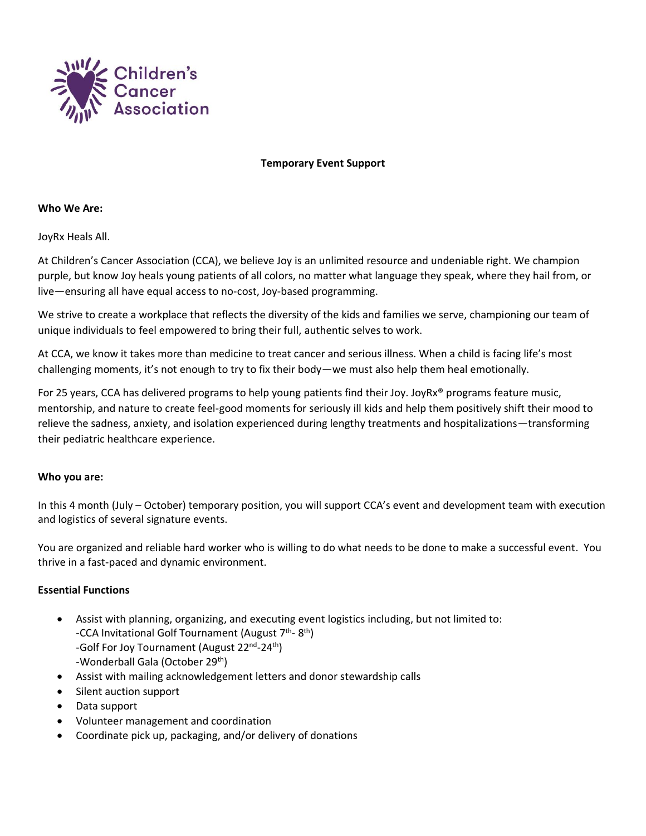

## **Temporary Event Support**

## **Who We Are:**

JoyRx Heals All.

At Children's Cancer Association (CCA), we believe Joy is an unlimited resource and undeniable right. We champion purple, but know Joy heals young patients of all colors, no matter what language they speak, where they hail from, or live—ensuring all have equal access to no-cost, Joy-based programming.

We strive to create a workplace that reflects the diversity of the kids and families we serve, championing our team of unique individuals to feel empowered to bring their full, authentic selves to work.

At CCA, we know it takes more than medicine to treat cancer and serious illness. When a child is facing life's most challenging moments, it's not enough to try to fix their body—we must also help them heal emotionally.

For 25 years, CCA has delivered programs to help young patients find their Joy. JoyRx® programs feature music, mentorship, and nature to create feel-good moments for seriously ill kids and help them positively shift their mood to relieve the sadness, anxiety, and isolation experienced during lengthy treatments and hospitalizations—transforming their pediatric healthcare experience.

# **Who you are:**

In this 4 month (July – October) temporary position, you will support CCA's event and development team with execution and logistics of several signature events.

You are organized and reliable hard worker who is willing to do what needs to be done to make a successful event. You thrive in a fast-paced and dynamic environment.

# **Essential Functions**

- Assist with planning, organizing, and executing event logistics including, but not limited to: -CCA Invitational Golf Tournament (August 7<sup>th</sup>-8<sup>th</sup>) -Golf For Joy Tournament (August 22<sup>nd</sup>-24<sup>th</sup>) -Wonderball Gala (October 29<sup>th</sup>)
- Assist with mailing acknowledgement letters and donor stewardship calls
- Silent auction support
- Data support
- Volunteer management and coordination
- Coordinate pick up, packaging, and/or delivery of donations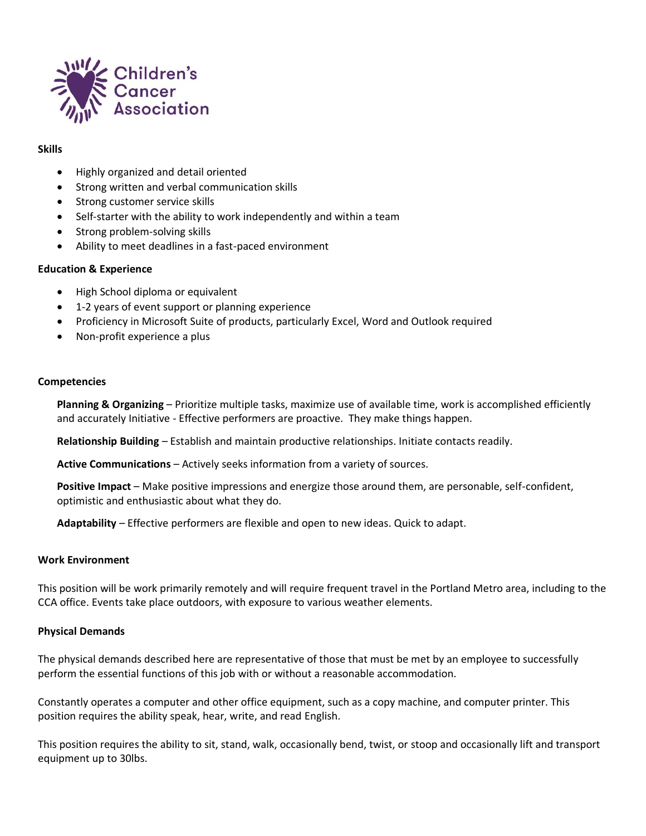

### **Skills**

- Highly organized and detail oriented
- Strong written and verbal communication skills
- Strong customer service skills
- Self-starter with the ability to work independently and within a team
- Strong problem-solving skills
- Ability to meet deadlines in a fast-paced environment

## **Education & Experience**

- High School diploma or equivalent
- 1-2 years of event support or planning experience
- Proficiency in Microsoft Suite of products, particularly Excel, Word and Outlook required
- Non-profit experience a plus

### **Competencies**

**Planning & Organizing** – Prioritize multiple tasks, maximize use of available time, work is accomplished efficiently and accurately Initiative - Effective performers are proactive. They make things happen.

**Relationship Building** – Establish and maintain productive relationships. Initiate contacts readily.

**Active Communications** – Actively seeks information from a variety of sources.

**Positive Impact** – Make positive impressions and energize those around them, are personable, self-confident, optimistic and enthusiastic about what they do.

**Adaptability** – Effective performers are flexible and open to new ideas. Quick to adapt.

#### **Work Environment**

This position will be work primarily remotely and will require frequent travel in the Portland Metro area, including to the CCA office. Events take place outdoors, with exposure to various weather elements.

## **Physical Demands**

The physical demands described here are representative of those that must be met by an employee to successfully perform the essential functions of this job with or without a reasonable accommodation.

Constantly operates a computer and other office equipment, such as a copy machine, and computer printer. This position requires the ability speak, hear, write, and read English.

This position requires the ability to sit, stand, walk, occasionally bend, twist, or stoop and occasionally lift and transport equipment up to 30lbs.